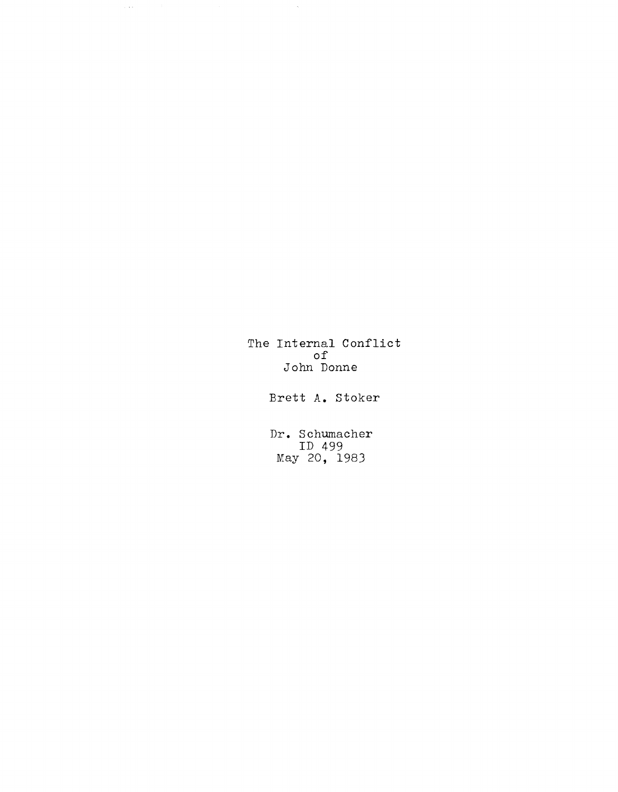The Internal Conflict of John Donne

 $\sim$   $\sim$ 

 $\psi(\gamma)$ 

Brett **A.** Stoker

**Dr.** Schumacher ID 499 May 20, 1983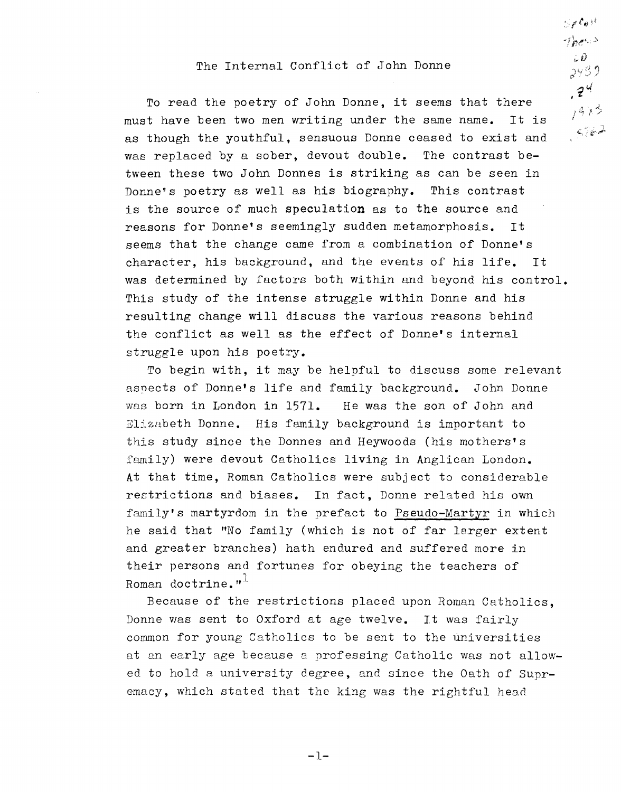## The Internal Conflict of John Donne

 $S$  x  $\ell_{\theta}$  it  $\gamma_{h}$  $\pm \hat{\nu}$ 2439

 $7^{4}$ To read the poetry of John Donne, it seems that there  $1413$ must have been two men writing under the same name. It is  $5.62$ as though the youthful, sensuous Donne ceased to exist and was replaced by a sober, devout double. The contrast between these two John Donnes is striking as can be seen in Donne's poetry as well as his biography. This contrast is the source of much speculation as to the source and reasons for Donne's seemingly sudden metamorphosis. It seems that the change came from a combination of Donne's character, his background, and the events of his life. It was determined by factors both within and beyond his control. This study of the intense struggle within Donne and his resulting change will discuss the various reasons behind the conflict as well as the effect of Donne's internal struggle upon his poetry.

To begin with, it may be helpful to discuss some relevant asoects of Donne's life and family background. John Donne wag born in London in 1571. He was the son of John and Elizabeth Donne. His family background is important to this study since the Donnes and Heywoods (his mothers's family) were devout Catholics living in Anglican London. At that time, Roman Catholics were subject to considerable restrictions and biases. In fact, Donne related his own family's martyrdom in the prefact to Pseudo-Martyr in which he said that "No family (which is not of far larger extent and greater branches) hath endured and suffered more in their persons and fortunes for obeying the teachers of Roman doctrine. $"$ <sup>+</sup>

Because of the restrictions placed upon Roman Catholics, Donne was sent to Oxford at age twelve. It was fairly common for young Catholics to be sent to the universities at an early age because a professing Catholic was not allowed to hold a university degree, and since the Oath of Supremacy, which stated that the king was the rightful head

**-1-**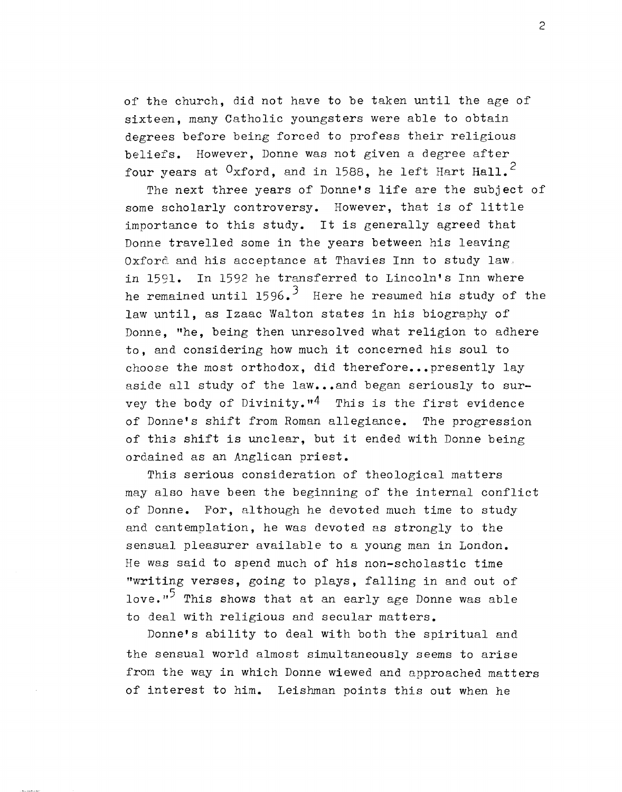of the church, did not have to be taken until the age of sixteen, many Catholic youngsters were able to obtain degrees before being forced to profess their religious beliefs. However, Donne was not given a degree after four years at  $0x$  ford, and in 1588, he left Hart Hall.<sup>2</sup>

The next three years of Donne's life are the subject of some scholarly controversy. However, that is of little importance to this study. It is generally agreed that Donne travelled some in the years between his leaving Oxford and his acceptance at Thavies Inn to study law. in 1591. In 1592 he transferred to Lincoln's Inn where he remained until 1596.<sup>3</sup> Here he resumed his study of the law until, as Izaac Walton states in his biography of Donne, "he, being then unresolved what religion to adhere to, and considering how much it concerned his soul to choose the most orthodox, did therefore... presently lay aside all study of the law...and began seriously to survey the body of Divinity.<sup>n4</sup> This is the first evidence of Donne's shift from Roman allegiance. The progression of this shift is unclear, but it ended with Donne being ordained as an Anglican priest.

This serious consideration of theological matters may also have been the beginning of the internal conflict of Donne. For, although he devoted much time to study and cantemplation, he was devoted as strongly to the sensual pleasurer available to a young man in London. He was said to spend much of his non-scholastic time "writing verses, going to plays, falling in and out of love."<sup>5</sup> This shows that at an early age Donne was able to deal with religious and secular matters.

Donne's ability to deal with both the spiritual and the sensual world almost simultaneously seems to arise from the way in which Donne wiewed and approached matters of interest to him. Leishman points this out when he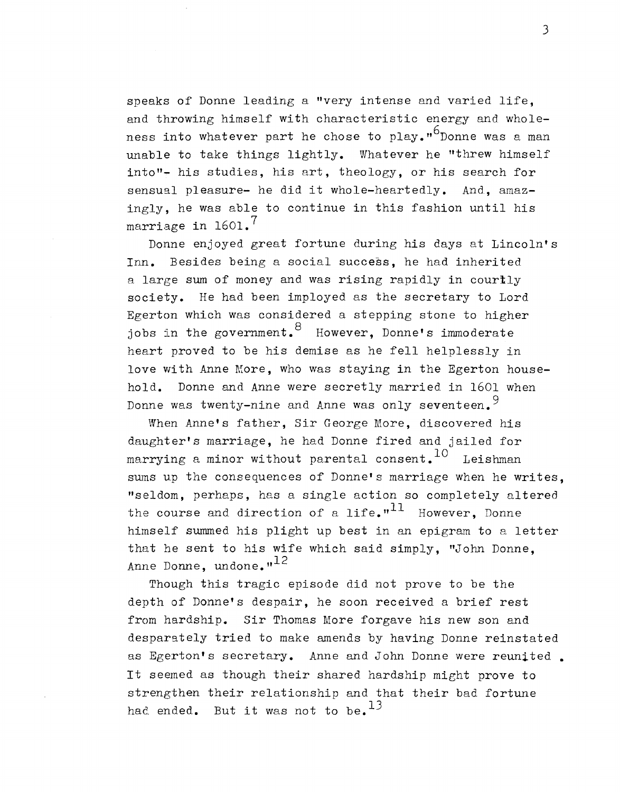speaks of Donne leading a "very intense and varied life, and throwing himself with characteristic energy and wholeness into whatever part he chose to play." $^{6}$ Donne was a man unable to take things lightly. Whatever he "threw himself into"- his studies, his art, theology, or his search for sensual pleasure- he did it whole-heartedly. And, amazingly, he was able to continue in this fashion until his marriage in  $1601$ .

Donne enjoyed great fortune during his days at Lincoln's Inn. Besides being a social success, he had inherited a large sum of money and was rising rapidly in courtly society. He had been imployed as the secretary to Lord Egerton which was considered a stepping stone to higher jobs in the government. <sup>8</sup> However, Donne's immoderate heart proved to be his demise as he fell helplessly in love with Anne More, who was staying in the Egerton household. Donne and Anne were secretly married in 1601 when Donne was twenty-nine and Anne was only seventeen. 9

When Anne's father, Sir George More, discovered his daughter's marriage, he had Donne fired and jailed for marrying a minor without parental consent.  $10$  Leishman sums up the consequences of Donne's marriage when he writes, "seldom, perhaps, has a single action so completely altered the course and direction of a life."<sup>11</sup> However, Donne himself summed his plight up best in an epigram to a letter that he sent to his wife which said simply, "John Donne, Anne Donne, undone. $n^{12}$ 

Though this tragic episode did not prove to be the depth of Donne's despair, he soon received a brief rest from hardship. Sir Thomas More forgave his new son and desparately tried to make amends by having Donne reinstated as Egerton's secretary. Anne and John Donne were reunited. It seemed as though their shared hardship might prove to strengthen their relationship and that their bad fortune had ended. But it was not to be.  $^{13}$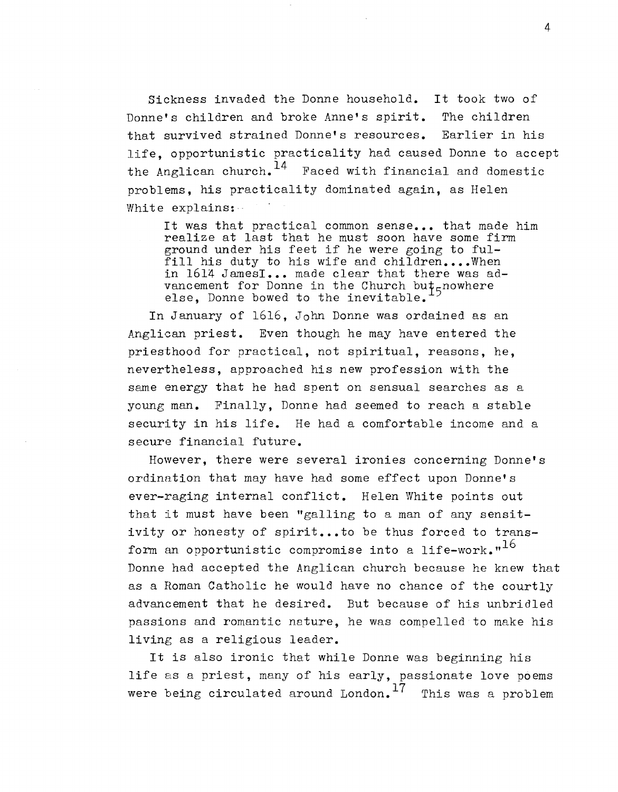Sickness invaded the Donne household. It took two of Donne's children and broke Anne's spirit. The children that survived strained Donne's resources. Earlier in his life, opportunistic practicality had caused Donne to accept the Anglican church.  $14$  Faced with financial and domestic problems, his practicality dominated again, as Helen White explains:

It was that practical common sense... that made him realize at last that he must soon have some firm ground under his feet if he were going to fulfill his duty to his wife and children....When in 1614 JamesI... made clear that there was advancement for Donne in the Church bu $\ddagger$ <sub>5</sub>nowhere else, Donne bowed to the inevitable.

In January of 1616, John Donne was ordained as an Anglican priest. Even though he may have entered the priesthood for practical, not spiritual, reasons, he, nevertheless, approached his new profession with the same energy that he had spent on sensual searches as a young man. Finally, Donne had seemed to reach a stable security in his life. He had a comfortable income and a secure financial future.

However, there were several ironies concerning Donne's ordination that may have had some effect upon Donne's ever-raging internal conflict. Helen White points out that it must have been "galling to a man of any sensitivity or honesty of spirit...to be thus forced to transform an opportunistic compromise into a life-work." $16$ Donne had accepted the Anglican church because he knew that as a Homan Catholic he would have no chance of the courtly advancement that he desired. But because of his unbridled passions and romantic nature, he was compelled to make his living as a religious leader.

It is also ironic that while Donne was beginning his life as a priest, many of his early, passionate love poems were being circulated around London.<sup>17</sup> This was a problem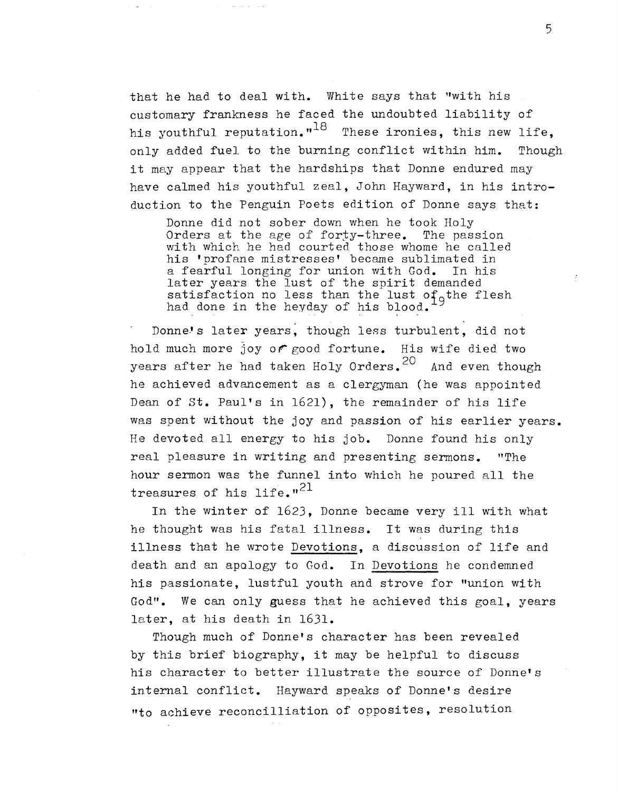that he had to deal with. White says that "with his customary frankness he faced the undoubted liability of his youthful reputation." $^{18}$  These ironies, this new life, only added fuel to the burning conflict within him. Though it may appear that the hardships that Donne endured may have calmed his youthful zeal, John Hayward, in his introduction to the Penguin Poets edition of Donne says that:

Donne did not sober down when he took Holy Orders at the age of forty-three. The passion with which he had courted those whome he called his 'profane mistresses' became sublimated in<br>a fearful longing for union with God. In his a fearful longing for union with God. later years the lust of the spirit demanded satisfaction no less than the lust of the flesh had done in the heyday of his blood.

Donne's later years, though less turbulent, did not hold much more joy or good fortune. His wife died two years after he had taken Holy Orders. <sup>20</sup> And even though he achieved advancement as a clergyman (he was appointed Dean of st. Paul's in 1621), the remainder of his life was spent without the joy and passion of his earlier years. He devoted all energy to his job. Donne found his only real pleasure in writing and presenting sermons. "The hour sermon was the funnel into which he poured all the treasures of his life." $^{21}$ 

In the winter of 1623, Donne became very ill with what he thought was his fatal illness. It was during this illness that he wrote Devotions, a discussion of life and death and an apology to God. In Devotions he condemned his passionate, lustful youth and strove for "union with God". We can only guess that he achieved this goal, years later, at his death in 1631.

Though much of Donne's character has been revealed by this brief biography, it may be helpful to discuss his character to better illustrate the source of Donne's internal conflict. Hayward speaks of Donne's desire "to aehieve reconcilliation of opposites, resolution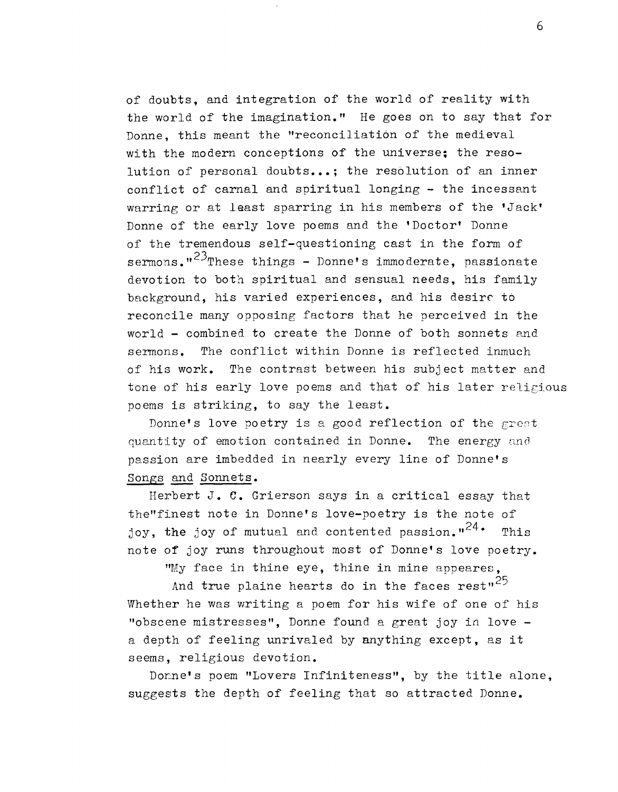of doubts, and integration of the world of reality with the world of the imagination." He goes on to say that for Donne, this meant the "reconciliation of the medieval with the modern conceptions of the universe; the resolution of personal doubts...; the resolution of an inner conflict of carnal and spiritual longing - the incessant warring or at least sparring in his members of the 'Jack' Donne of the early love poems and the 'Doctor' Donne of the tremendous self-questioning cast in the form of sermons.<sup>"23</sup>These things - Donne's immoderate, passionate devotion to both spiritual and sensual needs, his family background, his varied experiences, and his desire to reconcile many opposing factors that he perceived in the world - combined to create the Donne of both sonnets and sermons. The conflict within Donne is reflected inmuch of his work. The contrast between his subject matter and tone of his early love poems and that of his later religious poems is striking, to say the least.

Donne's love poetry is a good reflection of the great quantity of emotion contained in Donne. The energy and passion are imbedded in nearly every line of Donne's Songs and Sonnets.

Herbert  $J$ .  $C$ . Grierson says in a critical essay that the"finest note in Donne's love-poetry is the note of joy, the joy of mutual and contented passion."<sup>24</sup>. This note of joy runs throughout most of Donne's love poetry.

"My face in thine eye, thine in mine appeares,

And true plaine hearts do in the faces  $rest''^{25}$ Whether he was writing a poem for his wife of one of his "obscene mistresses", Donne found a great joy in love a depth of feeling unrivaled by anything except, as it seems, religious devotion.

Donne's poem "Lovers Infiniteness", by the title alone, suggests the depth of feeling that so attracted Donne.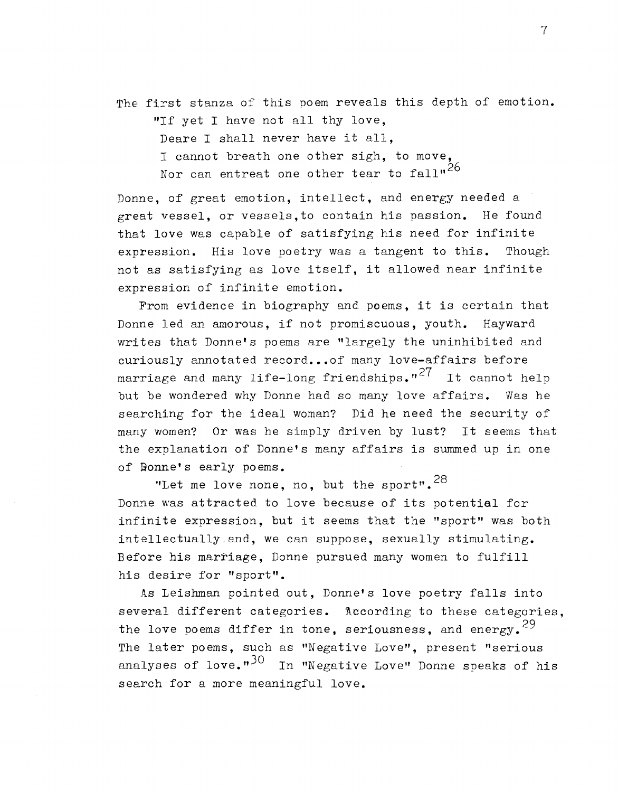The first stanza of this poem reveals this depth of emotion.

"If yet I have not all thy love,

Deare I shall never have it all,

I cannot breath one other sigh, to move,

Nor can entreat one other tear to  $fall<sup>26</sup>$ 

Donne, of great emotion, intellect, and energy needed a great vessel, or vessels,to contain his passion. He found that love was capable of satisfying his need for infinite expression. His love poetry was a tangent to this. Though not as satisfying as love itself, it allowed near infinite expression of infinite emotion.

From evidence in biography and poems, it is certain that Donne led an amorous, if not promiscuous, youth. Hayward writes that Donne's poems are "largely the uninhibited and curiously annotated record... of many love-affairs before marriage and many life-long friendships."<sup>27</sup> It cannot help but be wondered why Donne had so many love affairs. Was he searching for the ideal woman? Did he need the security of many women? Or was he simply driven by lust? It seems that the explanation of Donne's many affairs is summed up in one of **Donne's early poems.** 

"Let me love none, no, but the sport".  $28$ Donne was attracted to love because of its potential for infinite expression, but it seems that the "sport" was both intellectually and, we can suppose, sexually stimulating. Before his marriage, Donne pursued many women to fulfill his desire for "sport".

As Leishman pointed out, Donne's love poetry falls into several different categories. According to these categories, the love poems differ in tone, seriousness, and energy.<sup>29</sup> The later poems, such as "Negative Love", present "serious analyses of love." $30\degree$  In "Negative Love" Donne speaks of his search for a more meaningful love.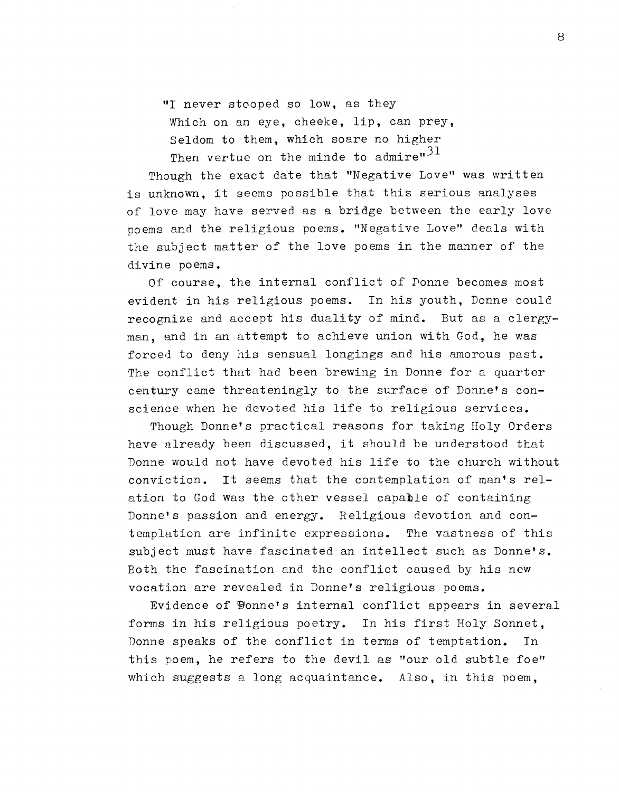**"I** never stooped so low, as they Which on an eye, cheeke, lip, can prey, Seldom to them, which soare no higher Then vertue on the minde to admire" $31$ 

Though the exact date that "Negative Love" was written is unknown, it seems possible that this serious analyses of love may have served as a bridge between the early love poems and the religious poems. "Negative Love" deals with the subject matter of the love poems in the manner of the divine poems.

Of course, the internal conflict of Ponne becomes most evident in his religious poems. In his youth, Donne could recognize and accept his duality of mind. But as a clergyman, and in an attempt to achieve union with God, he was forced to deny his sensual longings and his amorous past. The conflict that had been brewing in Donne for a quarter century came threateningly to the surface of Donne's conscience when he devoted his life to religious services.

Though Donne's practical reasons for taking Holy Orders have already been discussed, it should be understood that Donne would not have devoted his life to the church without conviction. It seems that the contemplation of man's relation to God was the other vessel capable of containing Donne's passion and energy. Religious devotion and contemplation are infinite expressions. The vastness of this subject must have fascinated an intellect such as Donne's. Both the fascination and the conflict caused by his new vocation are revealed in Donne's religious poems.

Evidence of Ponne's internal conflict appears in several forms in his religious poetry. In his first Holy Sonnet, Donne speaks of the conflict in terms of temptation. In this poem, he refers to the devil as "our old subtle foe" which suggests a long acquaintance. Also, in this poem,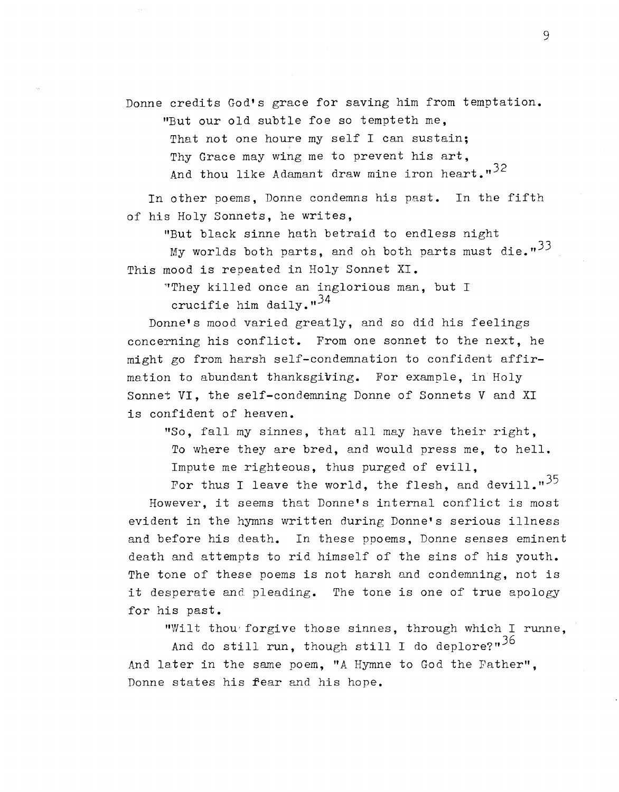Donne credits God's grace for saving him from temptation.

"But our old subtle foe so tempteth me,

That not one houre my self I can sustain; Thy Grace may wing me to prevent his art, And thou like Adamant draw mine iron heart." $32$ 

In other poems, Donne condemns his past. In the fifth of his Holy Sonnets, he writes,

"But black sinne hath betraid to endless night

My worlds both parts, and oh both parts must die. $133$ This mood is repeated in Holy Sonnet XI.

"!They killed once an inglorious man, but I crucifie him daily. $^{34}$ 

Donne's mood varied greatly, and so did his feelings concerning his conflict. From one sonnet to the next. he might go from harsh self-condemnation to confident affirmation to abundant thanksgiving. For example, in Holy Sonnet VI, the self-condemning Donne of Sonnets V and XI is confident of heaven.

"So, fall my sinnes, that all may have their right, To where they are bred, and would press me, to hell. Impute me righteous, thus purged of evill,

For thus I leave the world, the flesh, and devill." $^{35}$ 

However, it seems that Donne's internal conflict is most evident in the hymns written during Donne's serious illness and before his death. In these ppoems, Donne senses eminent death and attempts to rid himself of the sins of his youth. The tone of these poems is not harsh and condemning, not is it desperate and pleading. The tone is one of true apology for his past.

"Wilt thou' forgive those sinnes, through which I runne,

And do still run, though still I do deplore?" $36$ And later in the same poem, "A Hymne to God the Father", Donne states his fear and his hope.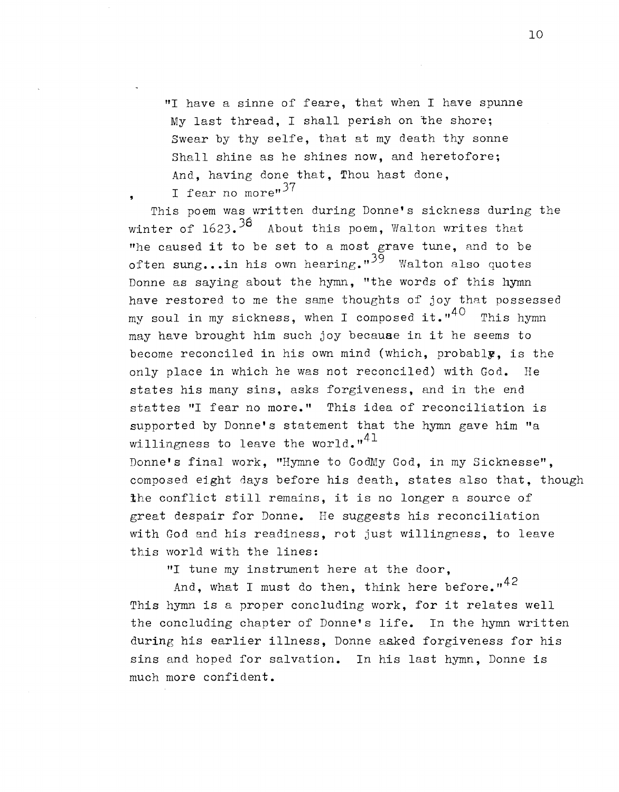"I have a sinne of feare, that when I have spunne My last thread, I shall perish on the shore; Swear by thy selfe, that at my death thy sonne Shall shine as he shines now, and heretofore; And, having done that, Thou hast done, I fear no more" $37$ 

This poem was written during Donne's sickness during the winter of  $1623.$ <sup>38</sup> About this poem, Walton writes that "he caused it to be set to a most grave tune, and to be often sung...in his own hearing." $39$  Walton also quotes Donne as saying about the hymn, "the words of this hymn have restored to me the same thoughts of joy that possessed my soul in my sickness, when I composed it." $^{40}$  This hymn may have brought him such joy because in it he seems to become reconciled in his own mind (which, probably, is the only place in which he was not reconciled) with God. He states his many sins, asks forgiveness, and in the end stattes "I fear no more." This idea of reconciliation is supported by Donne's statement that the hymn gave him "a willingness to leave the world. $n^{41}$ Donne's fina1 work, "Hymne to GodMy God, in my Sicknesse",

composed eight days before his death, states also that, though the conflict still remains, it is no longer a source of great despair for Donne. He suggests his reconciliation with God and his readiness, rot just Willingness, to leave this world with the lines:

"I tune my instrument here at the door,

And, what I must do then, think here before." $42$ This hymn is a proper concluding work, for it relates well the concluding chapter of Donne's life. In the hymn written during his earlier illness, Donne asked forgiveness for his sins and hoped for salvation. In his last hymn, Donne is much more confident.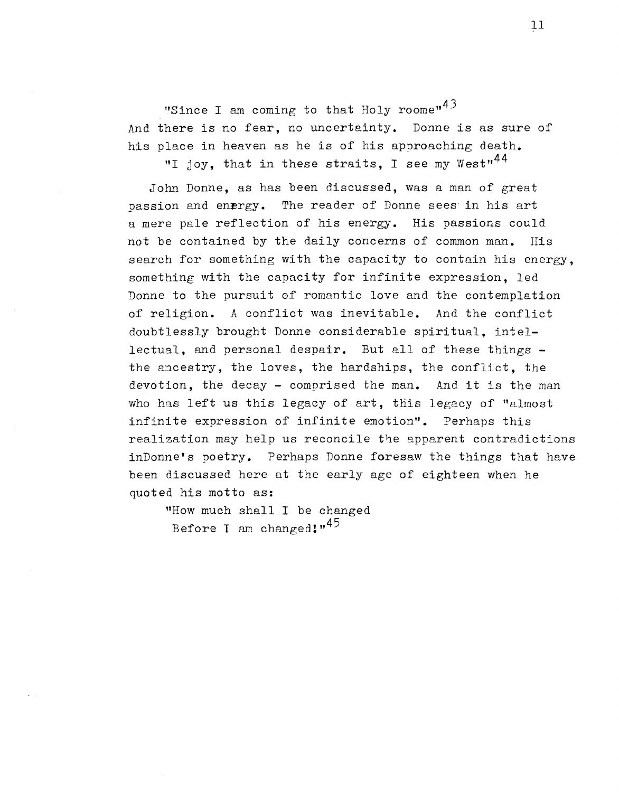"Since I am coming to that Holy roome" $43$ And there is no fear, no uncertainty. Donne is as sure of his place in heaven as he is of his approaching death.

"I joy, that in these straits, I see my West"<sup>44</sup>

John Donne, as has been discussed, was a man of great passion and energy. The reader of Donne sees in his art a mere pale reflection of his energy. His passions could not be contained by the daily concerns of common man. His search for something with the capacity to contain his energy, something with the capacity for infinite expression, led Donne to the pursuit of romantic love and the contemplation of religion. A conflict was inevitable. And the conflict doubtlessly brought Donne considerable spiritual, intellectual, and personal despair. But all of these things the ancestry, the loves, the hardships, the conflict, the devotion, the decay - comprised the man. And it is the man who has left us this legacy of art, this legacy of "almost infinite expression of infinite emotion". Perhaps this realization may help us reconcile the apparent contradictions inDonne's poetry. Perhaps Donne foresaw the things that have been discussed here at the early age of eighteen when he quoted his motto as:

"How much shall I be changed Before I am changed! $,45$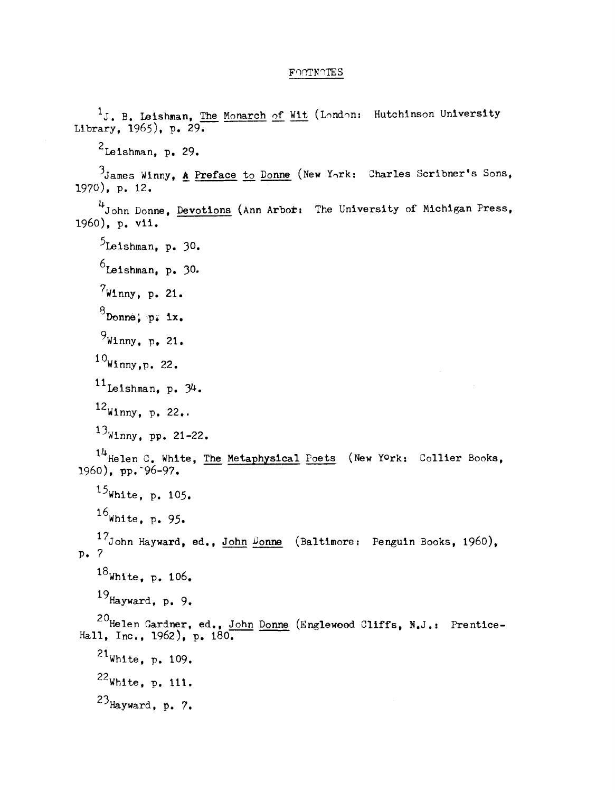## FOOTNOTES

 $1_J$ . B. Leishman, The Monarch of Wit (London: Hutchinson University Library,  $1965$ , p. 29.  $2$ Leishman, p. 29. 3James Winny, A Preface to Donne (New Ynrk: Charles Scribner's Sons,  $1970$ , p. 12.  $4$ John Donne, Devotions (Ann Arbor: The University of Michigan Press, 1960), p. vii.  $5$ Leishman, p. 30.  $6$ Leishman, p. 30.  $7_{\text{Winny}}$ , p. 21.  $^8$ Donne; p. ix.  $9$ Winny, p, 21.  $10$ Winny,p. 22.  $11$ Leishman, p.  $34$ .  $^{12}$ Winny, p. 22.  $13_{\text{Winny}}$ , pp. 21-22.  $14$ Helen C. White, The Metaphysical Poets (New York: Collier Books, 1960), pp. 96-97.  $15$ White, p. 105.  $16$ White, p. 95. 17John Hayward, ed., John Donne (Baltimore: Penguin Books, 1960), p. 7  $18$ White, p. 106.  $19$  Hayward, p. 9. 20 Helen Gardner, ed., John Donne (Englewood Cliffs, N.J.: Prentice-Hall, Inc., 1962), p.  $180$ .  $^{21}$ White, p. 109.  $22$ White, p. 111.  $23$ Hayward, p.  $7.$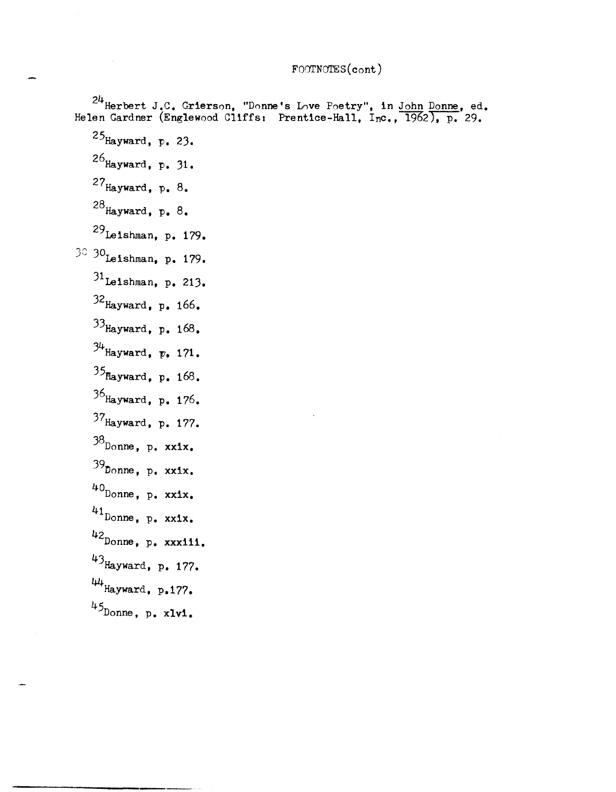## FOOTNOTES (cont)

 $^{24}$ Herbert J.C. Grierson, "Donne's Love Poetry", in <u>John Donne</u>, ed. Helen Gardner (Englewood Cliffs: Prentice-Hall,  $I_{nc}$ ,  $\overline{1962}$ ), p. 29.  $25$ Hayward, p. 23. 26 $_{\text{Hayward}}$ , p. 31.  $27$ Hayward, p. 8.  $28$  Hayward, p. 8. 29Leishman, p. 179. 30 30<sub>Leishman, p. 179.</sub>  $31$ Leishman, p. 213. 32 Hayward, p. 166. 3JHayward, p. 168.  $34$ Hayward,  $p. 171$ .  $35$ Hayward, p. 168. 36Hayward, p. 176. 37Hayward, p. 177.  $38$ Donne, p. xxix.  $39$ Donne, p. xxix.  $40$  Donne, p. xxix. 41 Donne, p. xxix. 42 Donne, p. xxxiii. 43Hayward, p. 177.  $44$ Hayward, p.177.  $45$ Donne, p. xlvi.

---------------------------